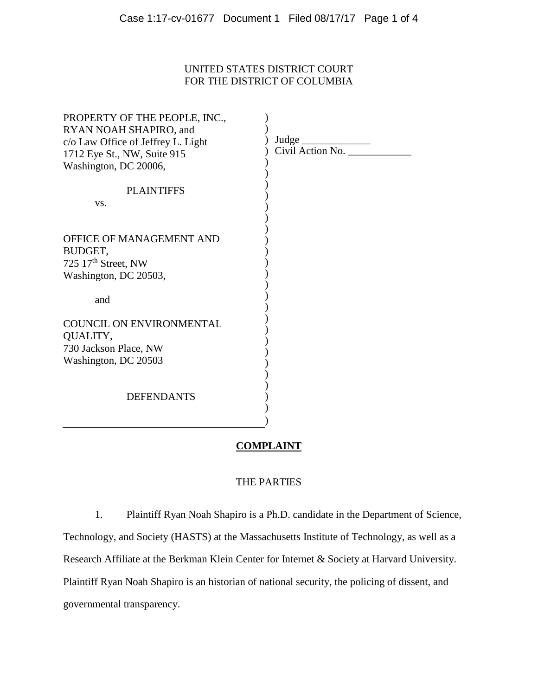# UNITED STATES DISTRICT COURT FOR THE DISTRICT OF COLUMBIA

| PROPERTY OF THE PEOPLE, INC.,      |                                        |
|------------------------------------|----------------------------------------|
| RYAN NOAH SHAPIRO, and             | Judge $\frac{1}{2}$                    |
| c/o Law Office of Jeffrey L. Light | $Civil$ $\overline{\text{Action No.}}$ |
| 1712 Eye St., NW, Suite 915        |                                        |
| Washington, DC 20006,              |                                        |
|                                    |                                        |
| <b>PLAINTIFFS</b>                  |                                        |
| VS.                                |                                        |
|                                    |                                        |
|                                    |                                        |
| <b>OFFICE OF MANAGEMENT AND</b>    |                                        |
| BUDGET,                            |                                        |
| 725 $17th$ Street, NW              |                                        |
| Washington, DC 20503,              |                                        |
|                                    |                                        |
| and                                |                                        |
|                                    |                                        |
| <b>COUNCIL ON ENVIRONMENTAL</b>    |                                        |
| QUALITY,                           |                                        |
| 730 Jackson Place, NW              |                                        |
|                                    |                                        |
| Washington, DC 20503               |                                        |
|                                    |                                        |
|                                    |                                        |
| <b>DEFENDANTS</b>                  |                                        |
|                                    |                                        |
|                                    |                                        |

## **COMPLAINT**

### THE PARTIES

1. Plaintiff Ryan Noah Shapiro is a Ph.D. candidate in the Department of Science, Technology, and Society (HASTS) at the Massachusetts Institute of Technology, as well as a Research Affiliate at the Berkman Klein Center for Internet & Society at Harvard University. Plaintiff Ryan Noah Shapiro is an historian of national security, the policing of dissent, and governmental transparency.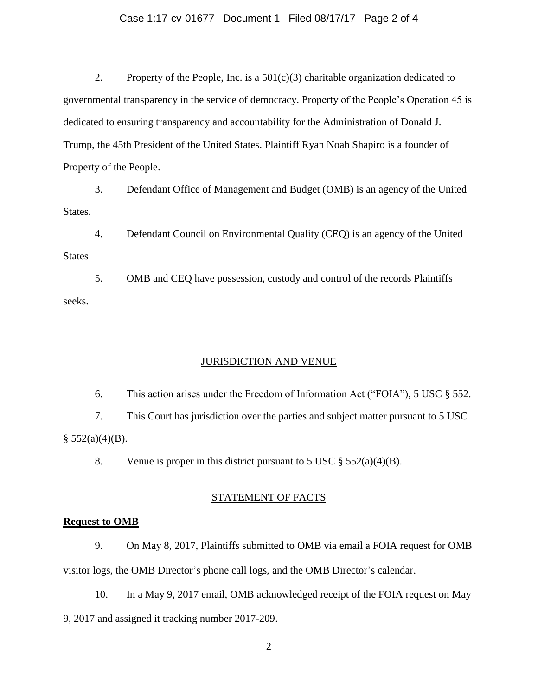#### Case 1:17-cv-01677 Document 1 Filed 08/17/17 Page 2 of 4

2. Property of the People, Inc. is a  $501(c)(3)$  charitable organization dedicated to governmental transparency in the service of democracy. Property of the People's Operation 45 is dedicated to ensuring transparency and accountability for the Administration of Donald J. Trump, the 45th President of the United States. Plaintiff Ryan Noah Shapiro is a founder of Property of the People.

3. Defendant Office of Management and Budget (OMB) is an agency of the United States.

4. Defendant Council on Environmental Quality (CEQ) is an agency of the United States

5. OMB and CEQ have possession, custody and control of the records Plaintiffs seeks.

#### JURISDICTION AND VENUE

6. This action arises under the Freedom of Information Act ("FOIA"), 5 USC § 552. 7. This Court has jurisdiction over the parties and subject matter pursuant to 5 USC  $§$  552(a)(4)(B).

8. Venue is proper in this district pursuant to 5 USC  $\S$  552(a)(4)(B).

#### STATEMENT OF FACTS

#### **Request to OMB**

9. On May 8, 2017, Plaintiffs submitted to OMB via email a FOIA request for OMB visitor logs, the OMB Director's phone call logs, and the OMB Director's calendar.

10. In a May 9, 2017 email, OMB acknowledged receipt of the FOIA request on May 9, 2017 and assigned it tracking number 2017-209.

2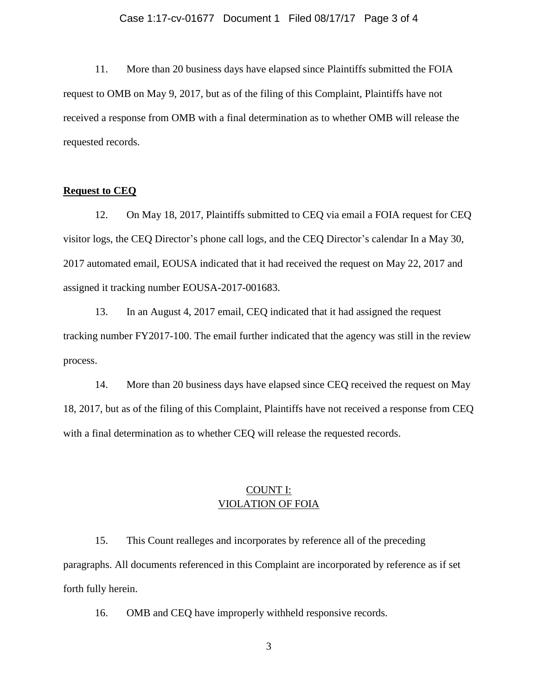#### Case 1:17-cv-01677 Document 1 Filed 08/17/17 Page 3 of 4

11. More than 20 business days have elapsed since Plaintiffs submitted the FOIA request to OMB on May 9, 2017, but as of the filing of this Complaint, Plaintiffs have not received a response from OMB with a final determination as to whether OMB will release the requested records.

#### **Request to CEQ**

12. On May 18, 2017, Plaintiffs submitted to CEQ via email a FOIA request for CEQ visitor logs, the CEQ Director's phone call logs, and the CEQ Director's calendar In a May 30, 2017 automated email, EOUSA indicated that it had received the request on May 22, 2017 and assigned it tracking number EOUSA-2017-001683.

13. In an August 4, 2017 email, CEQ indicated that it had assigned the request tracking number FY2017-100. The email further indicated that the agency was still in the review process.

14. More than 20 business days have elapsed since CEQ received the request on May 18, 2017, but as of the filing of this Complaint, Plaintiffs have not received a response from CEQ with a final determination as to whether CEQ will release the requested records.

# COUNT I: VIOLATION OF FOIA

15. This Count realleges and incorporates by reference all of the preceding paragraphs. All documents referenced in this Complaint are incorporated by reference as if set forth fully herein.

16. OMB and CEQ have improperly withheld responsive records.

3